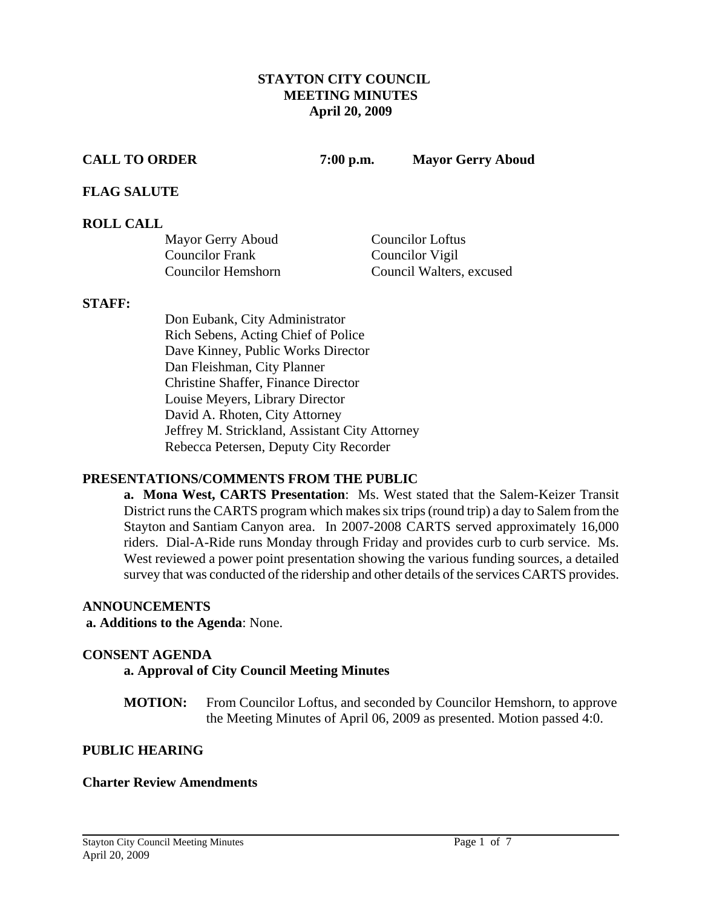## **STAYTON CITY COUNCIL MEETING MINUTES April 20, 2009**

**CALL TO ORDER 7:00 p.m. Mayor Gerry Aboud** 

## **FLAG SALUTE**

## **ROLL CALL**

| Mayor Gerry Aboud         | <b>Councilor Loftus</b>  |
|---------------------------|--------------------------|
| <b>Councilor Frank</b>    | Councilor Vigil          |
| <b>Councilor Hemshorn</b> | Council Walters, excused |

#### **STAFF:**

Don Eubank, City Administrator Rich Sebens, Acting Chief of Police Dave Kinney, Public Works Director Dan Fleishman, City Planner Christine Shaffer, Finance Director Louise Meyers, Library Director David A. Rhoten, City Attorney Jeffrey M. Strickland, Assistant City Attorney Rebecca Petersen, Deputy City Recorder

## **PRESENTATIONS/COMMENTS FROM THE PUBLIC**

**a. Mona West, CARTS Presentation**: Ms. West stated that the Salem-Keizer Transit District runs the CARTS program which makes six trips (round trip) a day to Salem from the Stayton and Santiam Canyon area. In 2007-2008 CARTS served approximately 16,000 riders. Dial-A-Ride runs Monday through Friday and provides curb to curb service. Ms. West reviewed a power point presentation showing the various funding sources, a detailed survey that was conducted of the ridership and other details of the services CARTS provides.

## **ANNOUNCEMENTS**

## **a. Additions to the Agenda**: None.

## **CONSENT AGENDA**

## **a. Approval of City Council Meeting Minutes**

**MOTION:** From Councilor Loftus, and seconded by Councilor Hemshorn, to approve the Meeting Minutes of April 06, 2009 as presented. Motion passed 4:0.

## **PUBLIC HEARING**

## **Charter Review Amendments**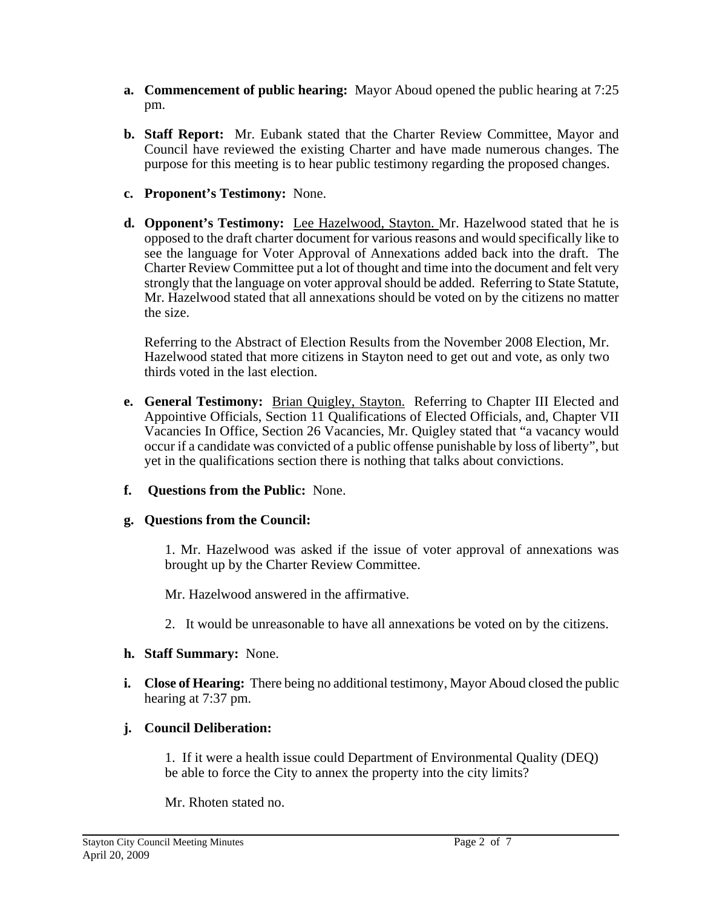- **a. Commencement of public hearing:** Mayor Aboud opened the public hearing at 7:25 pm.
- **b. Staff Report:** Mr. Eubank stated that the Charter Review Committee, Mayor and Council have reviewed the existing Charter and have made numerous changes. The purpose for this meeting is to hear public testimony regarding the proposed changes.
- **c. Proponent's Testimony:** None.
- **d. Opponent's Testimony:** Lee Hazelwood, Stayton. Mr. Hazelwood stated that he is opposed to the draft charter document for various reasons and would specifically like to see the language for Voter Approval of Annexations added back into the draft. The Charter Review Committee put a lot of thought and time into the document and felt very strongly that the language on voter approval should be added. Referring to State Statute, Mr. Hazelwood stated that all annexations should be voted on by the citizens no matter the size.

Referring to the Abstract of Election Results from the November 2008 Election, Mr. Hazelwood stated that more citizens in Stayton need to get out and vote, as only two thirds voted in the last election.

- **e. General Testimony:** Brian Quigley, Stayton. Referring to Chapter III Elected and Appointive Officials, Section 11 Qualifications of Elected Officials, and, Chapter VII Vacancies In Office, Section 26 Vacancies, Mr. Quigley stated that "a vacancy would occur if a candidate was convicted of a public offense punishable by loss of liberty", but yet in the qualifications section there is nothing that talks about convictions.
- **f. Questions from the Public:** None.

# **g. Questions from the Council:**

1. Mr. Hazelwood was asked if the issue of voter approval of annexations was brought up by the Charter Review Committee.

Mr. Hazelwood answered in the affirmative.

2. It would be unreasonable to have all annexations be voted on by the citizens.

# **h. Staff Summary:** None.

**i. Close of Hearing:** There being no additional testimony, Mayor Aboud closed the public hearing at 7:37 pm.

# **j. Council Deliberation:**

1. If it were a health issue could Department of Environmental Quality (DEQ) be able to force the City to annex the property into the city limits?

Mr. Rhoten stated no.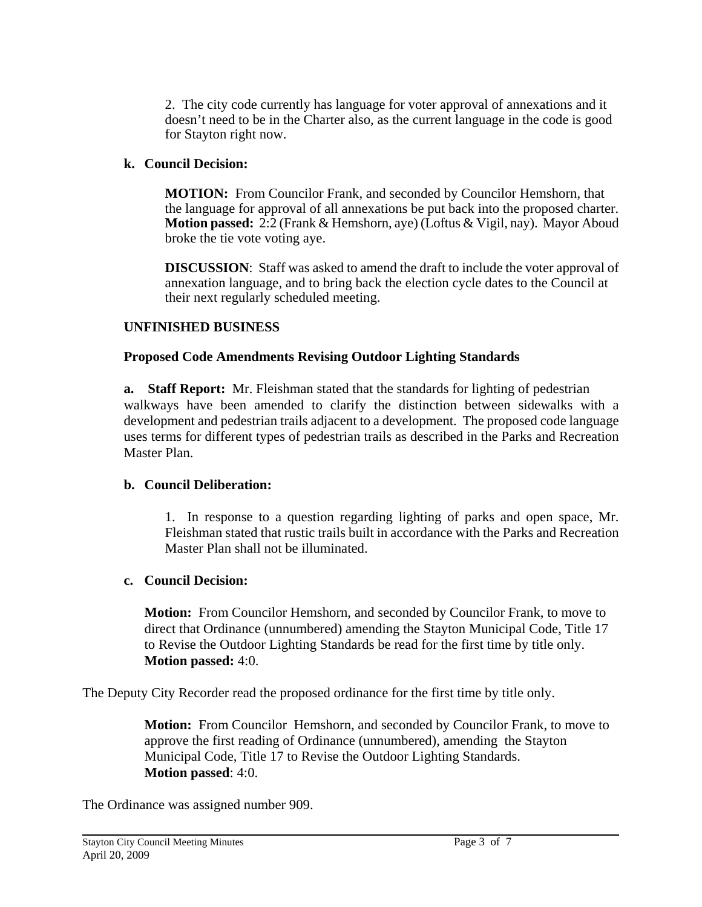2. The city code currently has language for voter approval of annexations and it doesn't need to be in the Charter also, as the current language in the code is good for Stayton right now.

# **k. Council Decision:**

 **MOTION:** From Councilor Frank, and seconded by Councilor Hemshorn, that the language for approval of all annexations be put back into the proposed charter. **Motion passed:** 2:2 (Frank & Hemshorn, aye) (Loftus & Vigil, nay). Mayor Aboud broke the tie vote voting aye.

 **DISCUSSION**: Staff was asked to amend the draft to include the voter approval of annexation language, and to bring back the election cycle dates to the Council at their next regularly scheduled meeting.

# **UNFINISHED BUSINESS**

## **Proposed Code Amendments Revising Outdoor Lighting Standards**

**a.** Staff Report: Mr. Fleishman stated that the standards for lighting of pedestrian walkways have been amended to clarify the distinction between sidewalks with a development and pedestrian trails adjacent to a development. The proposed code language uses terms for different types of pedestrian trails as described in the Parks and Recreation Master Plan.

## **b. Council Deliberation:**

1. In response to a question regarding lighting of parks and open space, Mr. Fleishman stated that rustic trails built in accordance with the Parks and Recreation Master Plan shall not be illuminated.

## **c. Council Decision:**

**Motion:** From Councilor Hemshorn, and seconded by Councilor Frank, to move to direct that Ordinance (unnumbered) amending the Stayton Municipal Code, Title 17 to Revise the Outdoor Lighting Standards be read for the first time by title only. **Motion passed:** 4:0.

The Deputy City Recorder read the proposed ordinance for the first time by title only.

**Motion:** From Councilor Hemshorn, and seconded by Councilor Frank, to move to approve the first reading of Ordinance (unnumbered), amending the Stayton Municipal Code, Title 17 to Revise the Outdoor Lighting Standards. **Motion passed**: 4:0.

The Ordinance was assigned number 909.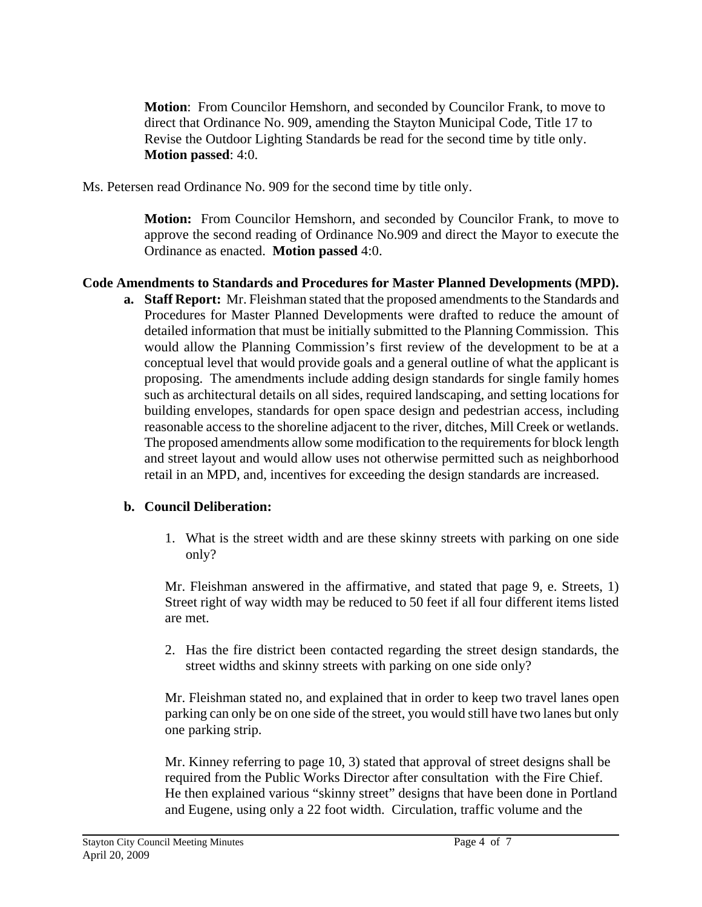**Motion**: From Councilor Hemshorn, and seconded by Councilor Frank, to move to direct that Ordinance No. 909, amending the Stayton Municipal Code, Title 17 to Revise the Outdoor Lighting Standards be read for the second time by title only. **Motion passed**: 4:0.

Ms. Petersen read Ordinance No. 909 for the second time by title only.

**Motion:** From Councilor Hemshorn, and seconded by Councilor Frank, to move to approve the second reading of Ordinance No.909 and direct the Mayor to execute the Ordinance as enacted. **Motion passed** 4:0.

# **Code Amendments to Standards and Procedures for Master Planned Developments (MPD).**

**a. Staff Report:** Mr. Fleishman stated that the proposed amendments to the Standards and Procedures for Master Planned Developments were drafted to reduce the amount of detailed information that must be initially submitted to the Planning Commission. This would allow the Planning Commission's first review of the development to be at a conceptual level that would provide goals and a general outline of what the applicant is proposing. The amendments include adding design standards for single family homes such as architectural details on all sides, required landscaping, and setting locations for building envelopes, standards for open space design and pedestrian access, including reasonable access to the shoreline adjacent to the river, ditches, Mill Creek or wetlands. The proposed amendments allow some modification to the requirements for block length and street layout and would allow uses not otherwise permitted such as neighborhood retail in an MPD, and, incentives for exceeding the design standards are increased.

# **b. Council Deliberation:**

1. What is the street width and are these skinny streets with parking on one side only?

Mr. Fleishman answered in the affirmative, and stated that page 9, e. Streets, 1) Street right of way width may be reduced to 50 feet if all four different items listed are met.

2. Has the fire district been contacted regarding the street design standards, the street widths and skinny streets with parking on one side only?

 Mr. Fleishman stated no, and explained that in order to keep two travel lanes open parking can only be on one side of the street, you would still have two lanes but only one parking strip.

 Mr. Kinney referring to page 10, 3) stated that approval of street designs shall be required from the Public Works Director after consultation with the Fire Chief. He then explained various "skinny street" designs that have been done in Portland and Eugene, using only a 22 foot width. Circulation, traffic volume and the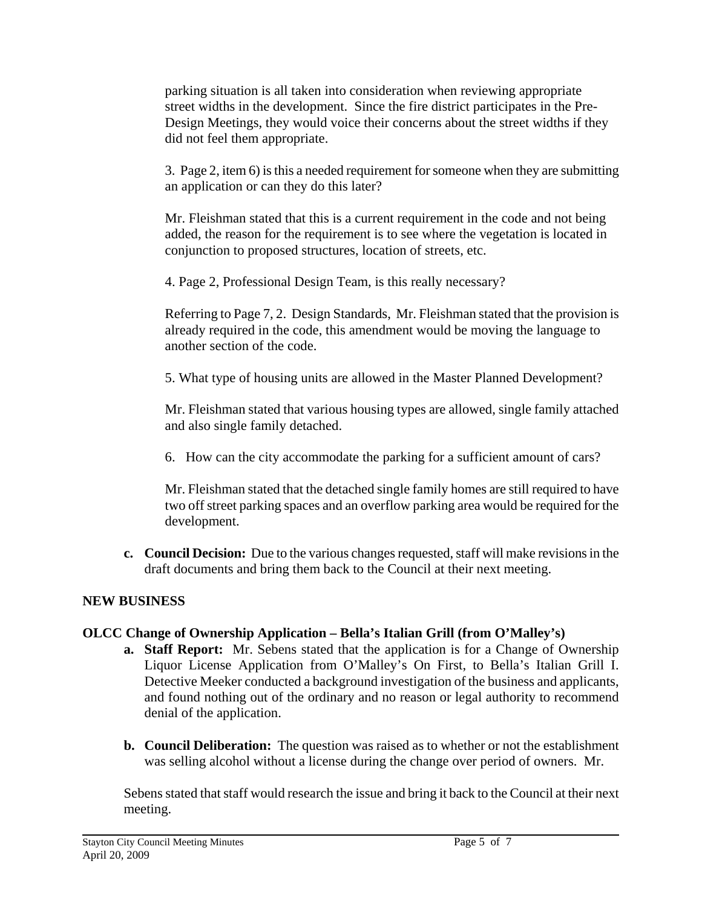parking situation is all taken into consideration when reviewing appropriate street widths in the development. Since the fire district participates in the Pre- Design Meetings, they would voice their concerns about the street widths if they did not feel them appropriate.

 3. Page 2, item 6) is this a needed requirement for someone when they are submitting an application or can they do this later?

 Mr. Fleishman stated that this is a current requirement in the code and not being added, the reason for the requirement is to see where the vegetation is located in conjunction to proposed structures, location of streets, etc.

4. Page 2, Professional Design Team, is this really necessary?

 Referring to Page 7, 2. Design Standards, Mr. Fleishman stated that the provision is already required in the code, this amendment would be moving the language to another section of the code.

5. What type of housing units are allowed in the Master Planned Development?

 Mr. Fleishman stated that various housing types are allowed, single family attached and also single family detached.

6. How can the city accommodate the parking for a sufficient amount of cars?

 Mr. Fleishman stated that the detached single family homes are still required to have two off street parking spaces and an overflow parking area would be required for the development.

**c. Council Decision:** Due to the various changes requested, staff will make revisions in the draft documents and bring them back to the Council at their next meeting.

# **NEW BUSINESS**

# **OLCC Change of Ownership Application – Bella's Italian Grill (from O'Malley's)**

- **a. Staff Report:** Mr. Sebens stated that the application is for a Change of Ownership Liquor License Application from O'Malley's On First, to Bella's Italian Grill I. Detective Meeker conducted a background investigation of the business and applicants, and found nothing out of the ordinary and no reason or legal authority to recommend denial of the application.
- **b. Council Deliberation:** The question was raised as to whether or not the establishment was selling alcohol without a license during the change over period of owners. Mr.

Sebens stated that staff would research the issue and bring it back to the Council at their next meeting.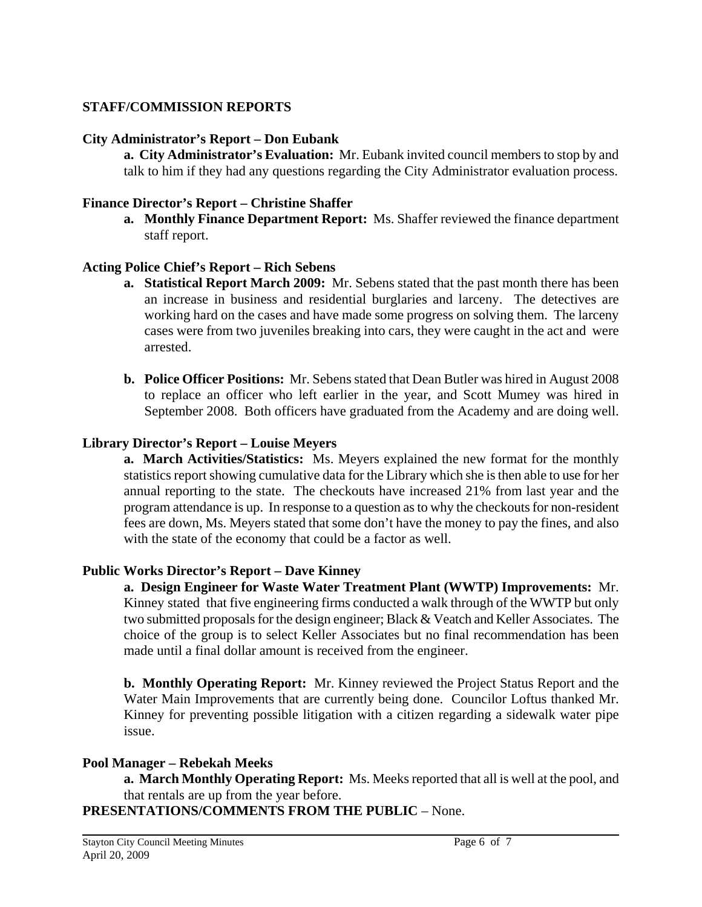# **STAFF/COMMISSION REPORTS**

## **City Administrator's Report – Don Eubank**

 **a. City Administrator's Evaluation:** Mr. Eubank invited council members to stop by and talk to him if they had any questions regarding the City Administrator evaluation process.

## **Finance Director's Report – Christine Shaffer**

**a. Monthly Finance Department Report:** Ms. Shaffer reviewed the finance department staff report.

## **Acting Police Chief's Report – Rich Sebens**

- **a. Statistical Report March 2009:** Mr. Sebens stated that the past month there has been an increase in business and residential burglaries and larceny. The detectives are working hard on the cases and have made some progress on solving them. The larceny cases were from two juveniles breaking into cars, they were caught in the act and were arrested.
- **b. Police Officer Positions:** Mr. Sebens stated that Dean Butler was hired in August 2008 to replace an officer who left earlier in the year, and Scott Mumey was hired in September 2008. Both officers have graduated from the Academy and are doing well.

## **Library Director's Report – Louise Meyers**

 **a. March Activities/Statistics:** Ms. Meyers explained the new format for the monthly statistics report showing cumulative data for the Library which she is then able to use for her annual reporting to the state. The checkouts have increased 21% from last year and the program attendance is up. In response to a question as to why the checkouts for non-resident fees are down, Ms. Meyers stated that some don't have the money to pay the fines, and also with the state of the economy that could be a factor as well.

## **Public Works Director's Report – Dave Kinney**

 **a. Design Engineer for Waste Water Treatment Plant (WWTP) Improvements:** Mr. Kinney stated that five engineering firms conducted a walk through of the WWTP but only two submitted proposals for the design engineer; Black & Veatch and Keller Associates. The choice of the group is to select Keller Associates but no final recommendation has been made until a final dollar amount is received from the engineer.

**b. Monthly Operating Report:** Mr. Kinney reviewed the Project Status Report and the Water Main Improvements that are currently being done. Councilor Loftus thanked Mr. Kinney for preventing possible litigation with a citizen regarding a sidewalk water pipe issue.

## **Pool Manager – Rebekah Meeks**

 **a. March Monthly Operating Report:** Ms. Meeks reported that all is well at the pool, and that rentals are up from the year before.

**PRESENTATIONS/COMMENTS FROM THE PUBLIC** – None.